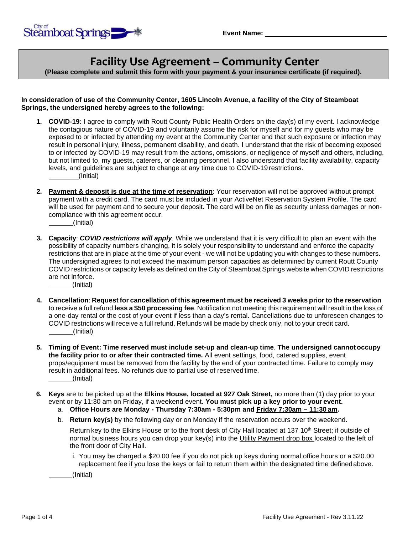# **Facility Use Agreement – Community Center**

**(Please complete and submit this form with your payment & your insurance certificate (if required).**

#### **In consideration of use of the Community Center, 1605 Lincoln Avenue, a facility of the City of Steamboat Springs, the undersigned hereby agrees to the following:**

- **1. COVID-19:** I agree to comply with Routt County Public Health Orders on the day(s) of my event. I acknowledge the contagious nature of COVID-19 and voluntarily assume the risk for myself and for my guests who may be exposed to or infected by attending my event at the Community Center and that such exposure or infection may result in personal injury, illness, permanent disability, and death. I understand that the risk of becoming exposed to or infected by COVID-19 may result from the actions, omissions, or negligence of myself and others,including, but not limited to, my guests, caterers, or cleaning personnel. I also understand that facility availability, capacity levels, and guidelines are subject to change at any time due to COVID-19 restrictions. (Initial)
- **2. Payment & deposit is due at the time of reservation**: Your reservation will not be approved without prompt payment with a credit card. The card must be included in your ActiveNet Reservation System Profile. The card will be used for payment and to secure your deposit. The card will be on file as security unless damages or noncompliance with this agreement occur. (Initial)
- **3. Capacity**: *COVID restrictions will apply*. While we understand that it is very difficult to plan an event with the possibility of capacity numbers changing, it is solely your responsibility to understand and enforce the capacity restrictions that are in place at the time of your event - we will not be updating you with changes to these numbers. The undersigned agrees to not exceed the maximum person capacities as determined by current Routt County COVID restrictions or capacity levels as defined on the City of Steamboat Springs website when COVID restrictions are not inforce. (Initial)
- **4. Cancellation**: **Request for cancellation of this agreement must be received 3 weeks priorto the reservation**  to receive a full refund **less a \$50 processing fee**. Notification not meeting this requirement will result in the loss of a one-day rental or the cost of your event if less than a day's rental. Cancellations due to unforeseen changes to COVID restrictions will receive a full refund. Refunds will be made by check only, not to your credit card. (Initial)
- **5. Timing of Event: Time reserved must include set-up and clean-up time**. **The undersigned cannot occupy the facility prior to or after their contracted time.** All event settings, food, catered supplies, event props/equipment must be removed from the facility by the end of your contracted time. Failure to comply may result in additional fees. No refunds due to partial use of reserved time. (Initial)
- **6. Keys** are to be picked up at the **Elkins House, located at 927 Oak Street,** no more than (1) day prior to your event or by 11:30 am on Friday, if a weekend event. **You must pick up a key prior to your event.**

a. **Office Hours are Monday - Thursday 7:30am - 5:30pm and Friday 7:30am – 11:30 am.**

b. **Return key(s)** by the following day or on Monday if the reservation occurs over the weekend.

Return key to the Elkins House or to the front desk of City Hall located at 137 10<sup>th</sup> Street; if outside of normal business hours you can drop your key(s) into the Utility Payment drop box located to the left of the front door of City Hall.

i. You may be charged a \$20.00 fee if you do not pick up keys during normal office hours or a \$20.00 replacement fee if you lose the keys or fail to return them within the designated time definedabove.

(Initial)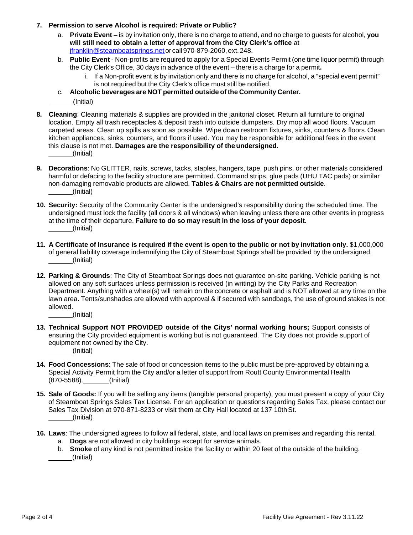- **7. Permission to serve Alcohol is required: Private or Public?**
	- a. **Private Event** is by invitation only, there is no charge to attend, and no charge to guests for alcohol, **you will still need to obtain a letter of approval from the City Clerk's office** at [jfranklin@steamboatsprings.net](mailto:jfranklin@steamboatsprings.net) or call 970-879-2060, ext.248.
	- b. **Public Event** Non-profits are required to apply for a Special Events Permit (one time liquor permit) through the City Clerk's Office, 30 days in advance of the event – there is a charge for a permit**.**
		- i. If a Non-profit event is by invitation only and there is no charge for alcohol, a "special event permit" is not required but the City Clerk's office must still be notified.
	- c. **Alcoholic beverages are NOT permitted outside of the Community Center.**

(Initial)

- **8. Cleaning**: Cleaning materials & supplies are provided in the janitorial closet. Return all furniture to original location. Empty all trash receptacles & deposit trash into outside dumpsters. Dry mop all wood floors. Vacuum carpeted areas. Clean up spills as soon as possible. Wipe down restroom fixtures, sinks, counters & floors.Clean kitchen appliances, sinks, counters, and floors if used. You may be responsible for additional fees in the event this clause is not met. **Damages are the responsibility of the undersigned.** (Initial)
- **9. Decorations**: No GLITTER, nails, screws, tacks, staples, hangers, tape, push pins, or other materials considered harmful or defacing to the facility structure are permitted. Command strips, glue pads (UHU TAC pads) or similar non-damaging removable products are allowed. **Tables & Chairs are not permitted outside**. (Initial)
- **10. Security:** Security of the Community Center is the undersigned's responsibility during the scheduled time. The undersigned must lock the facility (all doors & all windows) when leaving unless there are other events in progress at the time of their departure. **Failure to do so may result in the loss of your deposit.** (Initial)
- 11. A Certificate of Insurance is required if the event is open to the public or not by invitation only. \$1,000,000 of general liability coverage indemnifying the City of Steamboat Springs shall be provided by the undersigned. (Initial)
- **12. Parking & Grounds**: The City of Steamboat Springs does not guarantee on-site parking. Vehicle parking is not allowed on any soft surfaces unless permission is received (in writing) by the City Parks and Recreation Department. Anything with a wheel(s) will remain on the concrete or asphalt and is NOT allowed at any time on the lawn area. Tents/sunshades are allowed with approval & if secured with sandbags, the use of ground stakes is not allowed.

(Initial)

- **13. Technical Support NOT PROVIDED outside of the Citys' normal working hours;** Support consists of ensuring the City provided equipment is working but is not guaranteed. The City does not provide support of equipment not owned by the City. (Initial)
- **14. Food Concessions**: The sale of food or concession items to the public must be pre-approved by obtaining a Special Activity Permit from the City and/or a letter of support from Routt County Environmental Health (870-5588). (Initial)
- **15. Sale of Goods:** If you will be selling any items (tangible personal property), you must present a copy of your City of Steamboat Springs Sales Tax License. For an application or questions regarding Sales Tax, please contact our Sales Tax Division at 970-871-8233 or visit them at City Hall located at 137 10thSt. (Initial)
- **16. Laws**: The undersigned agrees to follow all federal, state, and local laws on premises and regarding this rental.
	- a. **Dogs** are not allowed in city buildings except for service animals.
	- b. **Smoke** of any kind is not permitted inside the facility or within 20 feet of the outside of the building. (Initial)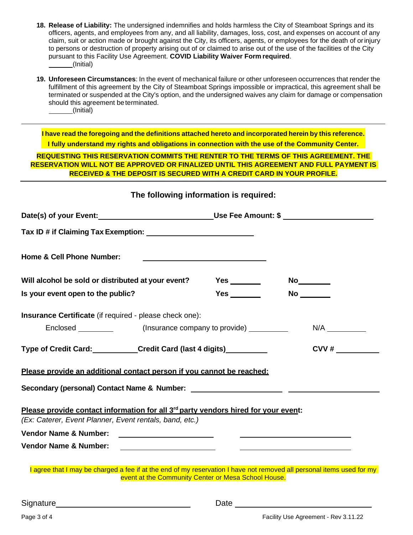- **18. Release of Liability:** The undersigned indemnifies and holds harmless the City of Steamboat Springs and its officers, agents, and employees from any, and all liability, damages, loss, cost, and expenses on account of any claim, suit or action made or brought against the City, its officers, agents, or employees for the death of orinjury to persons or destruction of property arising out of or claimed to arise out of the use of the facilities of the City pursuant to this Facility Use Agreement. **COVID Liability Waiver Form required**. (Initial)
- **19. Unforeseen Circumstances**: In the event of mechanical failure or other unforeseen occurrences that render the fulfillment of this agreement by the City of Steamboat Springs impossible or impractical, this agreement shall be terminated or suspended at the City's option, and the undersigned waives any claim for damage or compensation should this agreement beterminated. (Initial)

**I have read the foregoing and the definitions attached hereto and incorporated herein by this reference. I fully understand my rights and obligations in connection with the use of the Community Center.**

**REQUESTING THIS RESERVATION COMMITS THE RENTER TO THE TERMS OF THIS AGREEMENT. THE RESERVATION WILL NOT BE APPROVED OR FINALIZED UNTIL THIS AGREEMENT AND FULL PAYMENT IS RECEIVED & THE DEPOSIT IS SECURED WITH A CREDIT CARD IN YOUR PROFILE.**

| Date(s) of your Event:______________________________Use Fee Amount: \$ _________________                                                                  |                         |                           |
|-----------------------------------------------------------------------------------------------------------------------------------------------------------|-------------------------|---------------------------|
|                                                                                                                                                           |                         |                           |
| Home & Cell Phone Number:                                                                                                                                 |                         |                           |
| Will alcohol be sold or distributed at your event?                                                                                                        | Yes $\_\_\_\_\_\_\_\_\$ | No <sub>___________</sub> |
| Is your event open to the public?                                                                                                                         |                         | No                        |
| Insurance Certificate (if required - please check one):                                                                                                   |                         |                           |
|                                                                                                                                                           |                         | N/A                       |
| Type of Credit Card: Carrell Credit Card (last 4 digits)                                                                                                  |                         | CVV#                      |
| Please provide an additional contact person if you cannot be reached:                                                                                     |                         |                           |
|                                                                                                                                                           |                         |                           |
|                                                                                                                                                           |                         |                           |
|                                                                                                                                                           |                         |                           |
| Please provide contact information for all 3 <sup>rd</sup> party vendors hired for your event:<br>(Ex: Caterer, Event Planner, Event rentals, band, etc.) |                         |                           |
| Vendor Name & Number:                                                                                                                                     |                         |                           |